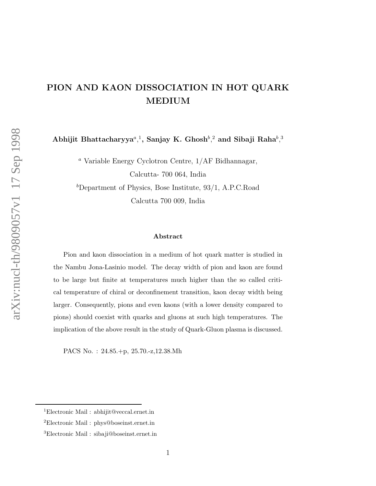## PION AND KAON DISSOCIATION IN HOT QUARK MEDIUM

Abhijit Bhattacharyya<sup>a</sup>,<sup>1</sup>, Sanjay K. Ghosh<sup>b</sup>,<sup>2</sup> and Sibaji Raha<sup>b</sup>,<sup>3</sup>

<sup>a</sup> Variable Energy Cyclotron Centre, 1/AF Bidhannagar, Calcutta- 700 064, India  $b$ Department of Physics, Bose Institute, 93/1, A.P.C.Road

Calcutta 700 009, India

## Abstract

Pion and kaon dissociation in a medium of hot quark matter is studied in the Nambu Jona-Lasinio model. The decay width of pion and kaon are found to be large but finite at temperatures much higher than the so called critical temperature of chiral or deconfinement transition, kaon decay width being larger. Consequently, pions and even kaons (with a lower density compared to pions) should coexist with quarks and gluons at such high temperatures. The implication of the above result in the study of Quark-Gluon plasma is discussed.

PACS No. : 24.85.+p, 25.70.-z,12.38.Mh

<sup>1</sup>Electronic Mail : abhijit@veccal.ernet.in

<sup>2</sup>Electronic Mail : phys@boseinst.ernet.in

<sup>3</sup>Electronic Mail : sibaji@boseinst.ernet.in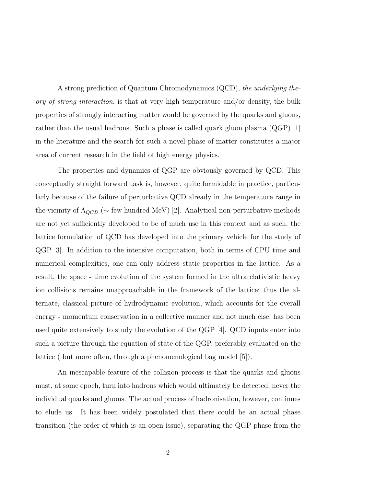A strong prediction of Quantum Chromodynamics (QCD), the underlying theory of strong interaction, is that at very high temperature and/or density, the bulk properties of strongly interacting matter would be governed by the quarks and gluons, rather than the usual hadrons. Such a phase is called quark gluon plasma (QGP) [1] in the literature and the search for such a novel phase of matter constitutes a major area of current research in the field of high energy physics.

The properties and dynamics of QGP are obviously governed by QCD. This conceptually straight forward task is, however, quite formidable in practice, particularly because of the failure of perturbative QCD already in the temperature range in the vicinity of  $\Lambda_{QCD}$  ( $\sim$  few hundred MeV) [2]. Analytical non-perturbative methods are not yet sufficiently developed to be of much use in this context and as such, the lattice formulation of QCD has developed into the primary vehicle for the study of QGP [3]. In addition to the intensive computation, both in terms of CPU time and numerical complexities, one can only address static properties in the lattice. As a result, the space - time evolution of the system formed in the ultrarelativistic heavy ion collisions remains unapproachable in the framework of the lattice; thus the alternate, classical picture of hydrodynamic evolution, which accounts for the overall energy - momentum conservation in a collective manner and not much else, has been used quite extensively to study the evolution of the QGP  $[4]$ . QCD inputs enter into such a picture through the equation of state of the QGP, preferably evaluated on the lattice ( but more often, through a phenomenological bag model [5]).

An inescapable feature of the collision process is that the quarks and gluons must, at some epoch, turn into hadrons which would ultimately be detected, never the individual quarks and gluons. The actual process of hadronisation, however, continues to elude us. It has been widely postulated that there could be an actual phase transition (the order of which is an open issue), separating the QGP phase from the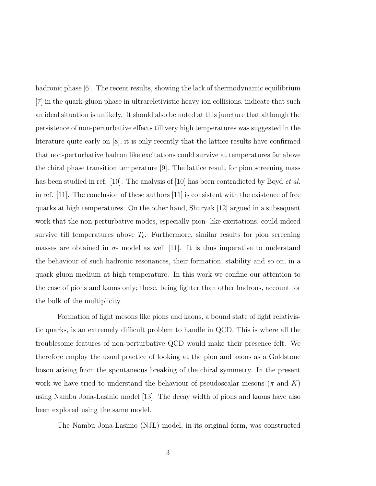hadronic phase  $|6|$ . The recent results, showing the lack of thermodynamic equilibrium [7] in the quark-gluon phase in ultrareletivistic heavy ion collisions, indicate that such an ideal situation is unlikely. It should also be noted at this juncture that although the persistence of non-perturbative effects till very high temperatures was suggested in the literature quite early on [8], it is only recently that the lattice results have confirmed that non-perturbative hadron like excitations could survive at temperatures far above the chiral phase transition temperature [9]. The lattice result for pion screening mass has been studied in ref. [10]. The analysis of [10] has been contradicted by Boyd *et al.* in ref.  $|11|$ . The conclusion of these authors  $|11|$  is consistent with the existence of free quarks at high temperatures. On the other hand, Shuryak [12] argued in a subsequent work that the non-perturbative modes, especially pion- like excitations, could indeed survive till temperatures above  $T_c$ . Furthermore, similar results for pion screening masses are obtained in  $\sigma$ - model as well [11]. It is thus imperative to understand the behaviour of such hadronic resonances, their formation, stability and so on, in a quark gluon medium at high temperature. In this work we confine our attention to the case of pions and kaons only; these, being lighter than other hadrons, account for the bulk of the multiplicity.

Formation of light mesons like pions and kaons, a bound state of light relativistic quarks, is an extremely difficult problem to handle in QCD. This is where all the troublesome features of non-perturbative QCD would make their presence felt. We therefore employ the usual practice of looking at the pion and kaons as a Goldstone boson arising from the spontaneous breaking of the chiral symmetry. In the present work we have tried to understand the behaviour of pseudoscalar mesons ( $\pi$  and K) using Nambu Jona-Lasinio model [13]. The decay width of pions and kaons have also been explored using the same model.

The Nambu Jona-Lasinio (NJL) model, in its original form, was constructed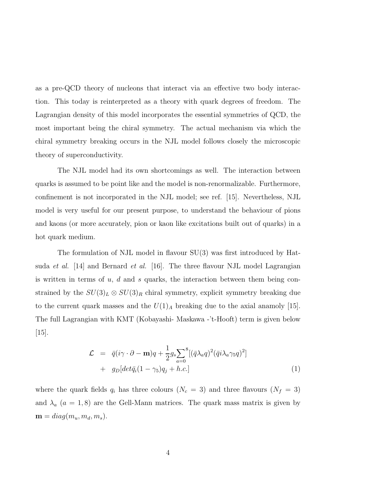as a pre-QCD theory of nucleons that interact via an effective two body interaction. This today is reinterpreted as a theory with quark degrees of freedom. The Lagrangian density of this model incorporates the essential symmetries of QCD, the most important being the chiral symmetry. The actual mechanism via which the chiral symmetry breaking occurs in the NJL model follows closely the microscopic theory of superconductivity.

The NJL model had its own shortcomings as well. The interaction between quarks is assumed to be point like and the model is non-renormalizable. Furthermore, confinement is not incorporated in the NJL model; see ref. [15]. Nevertheless, NJL model is very useful for our present purpose, to understand the behaviour of pions and kaons (or more accurately, pion or kaon like excitations built out of quarks) in a hot quark medium.

The formulation of NJL model in flavour SU(3) was first introduced by Hatsuda *et al.* [14] and Bernard *et al.* [16]. The three flavour NJL model Lagrangian is written in terms of  $u, d$  and  $s$  quarks, the interaction between them being constrained by the  $SU(3)_L \otimes SU(3)_R$  chiral symmetry, explicit symmetry breaking due to the current quark masses and the  $U(1)_A$  breaking due to the axial anamoly [15]. The full Lagrangian with KMT (Kobayashi- Maskawa -'t-Hooft) term is given below  $|15|$ .

$$
\mathcal{L} = \bar{q}(i\gamma \cdot \partial - \mathbf{m})q + \frac{1}{2}g_s \sum_{a=0}^8 [(\bar{q}\lambda_a q)^2 (\bar{q}i\lambda_a \gamma_5 q)^2] \n+ g_D[det\bar{q}_i(1-\gamma_5)q_j + h.c.]
$$
\n(1)

where the quark fields  $q_i$  has three colours  $(N_c = 3)$  and three flavours  $(N_f = 3)$ and  $\lambda_a$  ( $a = 1, 8$ ) are the Gell-Mann matrices. The quark mass matrix is given by  $\mathbf{m} = diag(m_u, m_d, m_s).$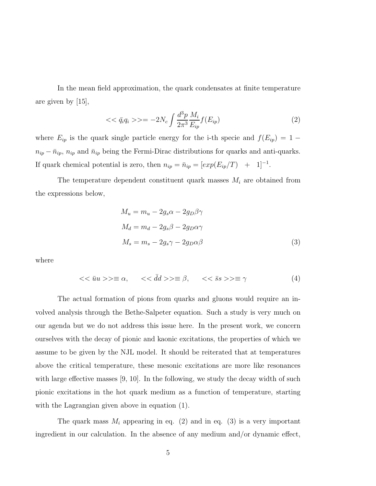In the mean field approximation, the quark condensates at finite temperature are given by [15],

$$
\langle \langle \bar{q}_i q_i \rangle \rangle = -2N_c \int \frac{d^3 p}{2\pi^3} \frac{M_i}{E_{ip}} f(E_{ip}) \tag{2}
$$

where  $E_{ip}$  is the quark single particle energy for the i-th specie and  $f(E_{ip}) = 1$  $n_{ip} - \bar{n}_{ip}$ ,  $n_{ip}$  and  $\bar{n}_{ip}$  being the Fermi-Dirac distributions for quarks and anti-quarks. If quark chemical potential is zero, then  $n_{ip} = \bar{n}_{ip} = [exp(E_{ip}/T) + 1]^{-1}$ .

The temperature dependent constituent quark masses  $M_i$  are obtained from the expressions below,

$$
M_u = m_u - 2g_s \alpha - 2g_D \beta \gamma
$$
  
\n
$$
M_d = m_d - 2g_s \beta - 2g_D \alpha \gamma
$$
  
\n
$$
M_s = m_s - 2g_s \gamma - 2g_D \alpha \beta
$$
\n(3)

where

$$
\langle \langle \bar{u}u \rangle \rangle \equiv \alpha, \quad \langle \langle \bar{d}d \rangle \rangle \equiv \beta, \quad \langle \langle \bar{s}s \rangle \rangle \equiv \gamma \tag{4}
$$

The actual formation of pions from quarks and gluons would require an involved analysis through the Bethe-Salpeter equation. Such a study is very much on our agenda but we do not address this issue here. In the present work, we concern ourselves with the decay of pionic and kaonic excitations, the properties of which we assume to be given by the NJL model. It should be reiterated that at temperatures above the critical temperature, these mesonic excitations are more like resonances with large effective masses  $[9, 10]$ . In the following, we study the decay width of such pionic excitations in the hot quark medium as a function of temperature, starting with the Lagrangian given above in equation (1).

The quark mass  $M_i$  appearing in eq. (2) and in eq. (3) is a very important ingredient in our calculation. In the absence of any medium and/or dynamic effect,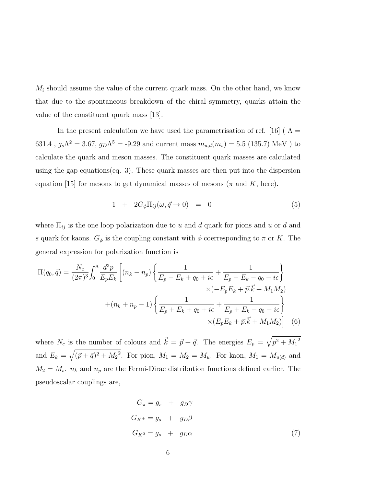$M_i$  should assume the value of the current quark mass. On the other hand, we know that due to the spontaneous breakdown of the chiral symmetry, quarks attain the value of the constituent quark mass [13].

In the present calculation we have used the parametrisation of ref. [16] ( $\Lambda$  = 631.4,  $g_s \Lambda^2 = 3.67$ ,  $g_D \Lambda^5 = -9.29$  and current mass  $m_{u,d}(m_s) = 5.5$  (135.7) MeV ) to calculate the quark and meson masses. The constituent quark masses are calculated using the gap equations(eq. 3). These quark masses are then put into the dispersion equation [15] for mesons to get dynamical masses of mesons ( $\pi$  and  $K$ , here).

$$
1 + 2G_{\phi} \Pi_{ij}(\omega, \vec{q} \to 0) = 0 \tag{5}
$$

where  $\Pi_{ij}$  is the one loop polarization due to u and d quark for pions and u or d and s quark for kaons.  $G_{\phi}$  is the coupling constant with  $\phi$  coerresponding to  $\pi$  or K. The general expression for polarization function is

$$
\Pi(q_0, \vec{q}) = \frac{N_c}{(2\pi)^3} \int_0^{\Lambda} \frac{d^3 p}{E_p E_k} \left[ (n_k - n_p) \left\{ \frac{1}{E_p - E_k + q_0 + i\epsilon} + \frac{1}{E_p - E_k - q_0 - i\epsilon} \right\} \times (-E_p E_k + \vec{p}.\vec{k} + M_1 M_2) \right. \\ \left. + (n_k + n_p - 1) \left\{ \frac{1}{E_p + E_k + q_0 + i\epsilon} + \frac{1}{E_p + E_k - q_0 - i\epsilon} \right\} \times (E_p E_k + \vec{p}.\vec{k} + M_1 M_2) \right] \tag{6}
$$

where  $N_c$  is the number of colours and  $\vec{k} = \vec{p} + \vec{q}$ . The energies  $E_p = \sqrt{p^2 + M_1^2}$ and  $E_k = \sqrt{(\vec{p} + \vec{q})^2 + M_2^2}$ . For pion,  $M_1 = M_2 = M_u$ . For kaon,  $M_1 = M_{u(d)}$  and  $M_2 = M_s$ .  $n_k$  and  $n_p$  are the Fermi-Dirac distribution functions defined earlier. The pseudoscalar couplings are,

$$
G_{\pi} = g_s + g_D \gamma
$$
  
\n
$$
G_{K^{\pm}} = g_s + g_D \beta
$$
  
\n
$$
G_{K^0} = g_s + g_D \alpha
$$
\n(7)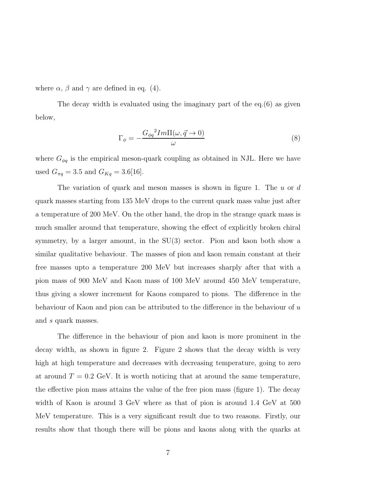where  $\alpha$ ,  $\beta$  and  $\gamma$  are defined in eq. (4).

The decay width is evaluated using the imaginary part of the  $eq.(6)$  as given below,

$$
\Gamma_{\phi} = -\frac{G_{\phi q}^2 Im \Pi(\omega, \vec{q} \to 0)}{\omega} \tag{8}
$$

where  $G_{\phi q}$  is the empirical meson-quark coupling as obtained in NJL. Here we have used  $G_{\pi q} = 3.5$  and  $G_{Kq} = 3.6[16]$ .

The variation of quark and meson masses is shown in figure 1. The  $u$  or  $d$ quark masses starting from 135 MeV drops to the current quark mass value just after a temperature of 200 MeV. On the other hand, the drop in the strange quark mass is much smaller around that temperature, showing the effect of explicitly broken chiral symmetry, by a larger amount, in the SU(3) sector. Pion and kaon both show a similar qualitative behaviour. The masses of pion and kaon remain constant at their free masses upto a temperature 200 MeV but increases sharply after that with a pion mass of 900 MeV and Kaon mass of 100 MeV around 450 MeV temperature, thus giving a slower increment for Kaons compared to pions. The difference in the behaviour of Kaon and pion can be attributed to the difference in the behaviour of u and s quark masses.

The difference in the behaviour of pion and kaon is more prominent in the decay width, as shown in figure 2. Figure 2 shows that the decay width is very high at high temperature and decreases with decreasing temperature, going to zero at around  $T = 0.2$  GeV. It is worth noticing that at around the same temperature, the effective pion mass attains the value of the free pion mass (figure 1). The decay width of Kaon is around 3 GeV where as that of pion is around 1.4 GeV at 500 MeV temperature. This is a very significant result due to two reasons. Firstly, our results show that though there will be pions and kaons along with the quarks at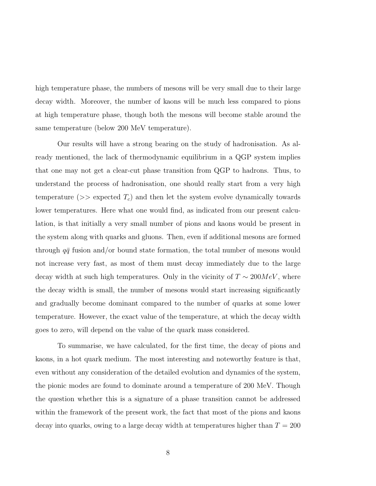high temperature phase, the numbers of mesons will be very small due to their large decay width. Moreover, the number of kaons will be much less compared to pions at high temperature phase, though both the mesons will become stable around the same temperature (below 200 MeV temperature).

Our results will have a strong bearing on the study of hadronisation. As already mentioned, the lack of thermodynamic equilibrium in a QGP system implies that one may not get a clear-cut phase transition from QGP to hadrons. Thus, to understand the process of hadronisation, one should really start from a very high temperature ( $\gg$  expected  $T_c$ ) and then let the system evolve dynamically towards lower temperatures. Here what one would find, as indicated from our present calculation, is that initially a very small number of pions and kaons would be present in the system along with quarks and gluons. Then, even if additional mesons are formed through  $q\bar{q}$  fusion and/or bound state formation, the total number of mesons would not increase very fast, as most of them must decay immediately due to the large decay width at such high temperatures. Only in the vicinity of  $T \sim 200 MeV$ , where the decay width is small, the number of mesons would start increasing significantly and gradually become dominant compared to the number of quarks at some lower temperature. However, the exact value of the temperature, at which the decay width goes to zero, will depend on the value of the quark mass considered.

To summarise, we have calculated, for the first time, the decay of pions and kaons, in a hot quark medium. The most interesting and noteworthy feature is that, even without any consideration of the detailed evolution and dynamics of the system, the pionic modes are found to dominate around a temperature of 200 MeV. Though the question whether this is a signature of a phase transition cannot be addressed within the framework of the present work, the fact that most of the pions and kaons decay into quarks, owing to a large decay width at temperatures higher than  $T = 200$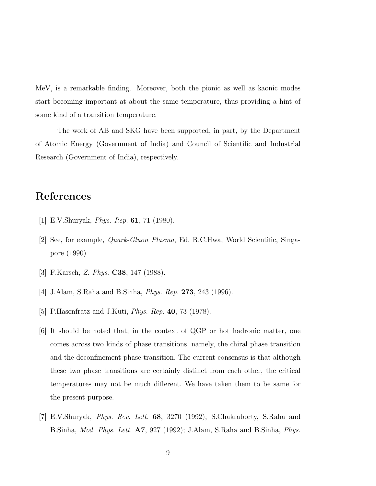MeV, is a remarkable finding. Moreover, both the pionic as well as kaonic modes start becoming important at about the same temperature, thus providing a hint of some kind of a transition temperature.

The work of AB and SKG have been supported, in part, by the Department of Atomic Energy (Government of India) and Council of Scientific and Industrial Research (Government of India), respectively.

## References

- [1] E.V.Shuryak, *Phys. Rep.* **61**, 71 (1980).
- [2] See, for example, Quark-Gluon Plasma, Ed. R.C.Hwa, World Scientific, Singapore (1990)
- [3] F.Karsch, Z. Phys. C38, 147 (1988).
- [4] J.Alam, S.Raha and B.Sinha, Phys. Rep. 273, 243 (1996).
- [5] P.Hasenfratz and J.Kuti, Phys. Rep. 40, 73 (1978).
- [6] It should be noted that, in the context of QGP or hot hadronic matter, one comes across two kinds of phase transitions, namely, the chiral phase transition and the deconfinement phase transition. The current consensus is that although these two phase transitions are certainly distinct from each other, the critical temperatures may not be much different. We have taken them to be same for the present purpose.
- [7] E.V.Shuryak, Phys. Rev. Lett. 68, 3270 (1992); S.Chakraborty, S.Raha and B.Sinha, *Mod. Phys. Lett.* A7, 927 (1992); J.Alam, S.Raha and B.Sinha, *Phys.*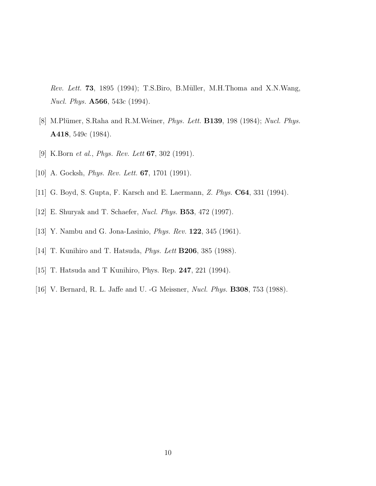Rev. Lett. 73, 1895 (1994); T.S.Biro, B.Müller, M.H.Thoma and X.N.Wang, Nucl. Phys. A566, 543c (1994).

- [8] M.Plümer, S.Raha and R.M.Weiner, *Phys. Lett.* **B139**, 198 (1984); *Nucl. Phys.* A418, 549c (1984).
- [9] K.Born *et al., Phys. Rev. Lett* **67**, 302 (1991).
- [10] A. Gocksh, *Phys. Rev. Lett.* **67**, 1701 (1991).
- [11] G. Boyd, S. Gupta, F. Karsch and E. Laermann, Z. Phys. C64, 331 (1994).
- [12] E. Shuryak and T. Schaefer, Nucl. Phys. B53, 472 (1997).
- [13] Y. Nambu and G. Jona-Lasinio, Phys. Rev. 122, 345 (1961).
- [14] T. Kunihiro and T. Hatsuda, *Phys. Lett* **B206**, 385 (1988).
- [15] T. Hatsuda and T Kunihiro, Phys. Rep. 247, 221 (1994).
- [16] V. Bernard, R. L. Jaffe and U. -G Meissner, Nucl. Phys. B308, 753 (1988).